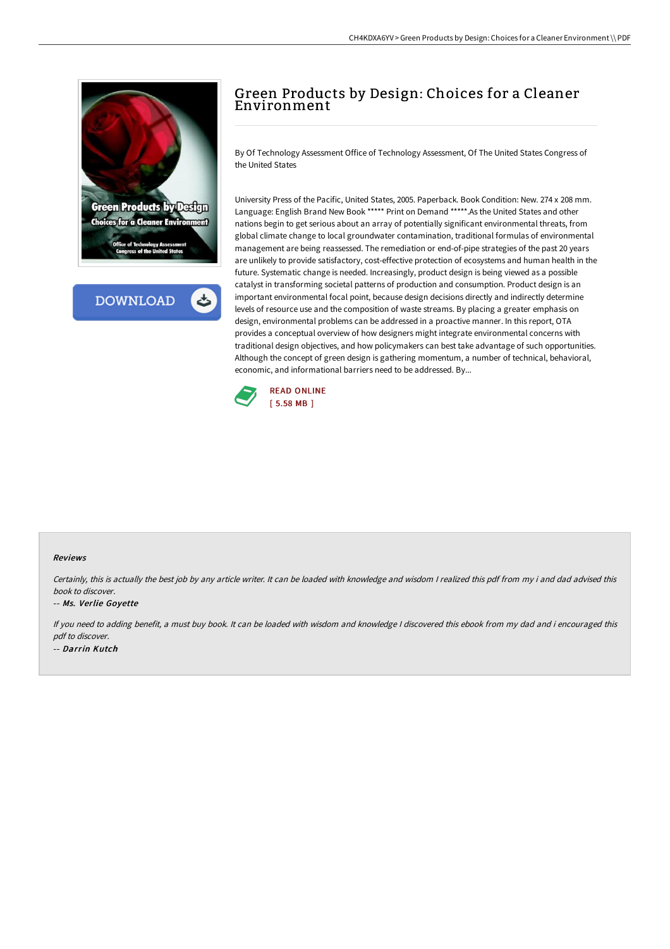

**DOWNLOAD** 

# Green Products by Design: Choices for a Cleaner Environment

By Of Technology Assessment Office of Technology Assessment, Of The United States Congress of the United States

University Press of the Pacific, United States, 2005. Paperback. Book Condition: New. 274 x 208 mm. Language: English Brand New Book \*\*\*\*\* Print on Demand \*\*\*\*\*.As the United States and other nations begin to get serious about an array of potentially significant environmental threats, from global climate change to local groundwater contamination, traditional formulas of environmental management are being reassessed. The remediation or end-of-pipe strategies of the past 20 years are unlikely to provide satisfactory, cost-effective protection of ecosystems and human health in the future. Systematic change is needed. Increasingly, product design is being viewed as a possible catalyst in transforming societal patterns of production and consumption. Product design is an important environmental focal point, because design decisions directly and indirectly determine levels of resource use and the composition of waste streams. By placing a greater emphasis on design, environmental problems can be addressed in a proactive manner. In this report, OTA provides a conceptual overview of how designers might integrate environmental concerns with traditional design objectives, and how policymakers can best take advantage of such opportunities. Although the concept of green design is gathering momentum, a number of technical, behavioral, economic, and informational barriers need to be addressed. By...



#### Reviews

Certainly, this is actually the best job by any article writer. It can be loaded with knowledge and wisdom <sup>I</sup> realized this pdf from my i and dad advised this book to discover.

#### -- Ms. Verlie Goyette

If you need to adding benefit, <sup>a</sup> must buy book. It can be loaded with wisdom and knowledge <sup>I</sup> discovered this ebook from my dad and i encouraged this pdf to discover. -- Darrin Kutch